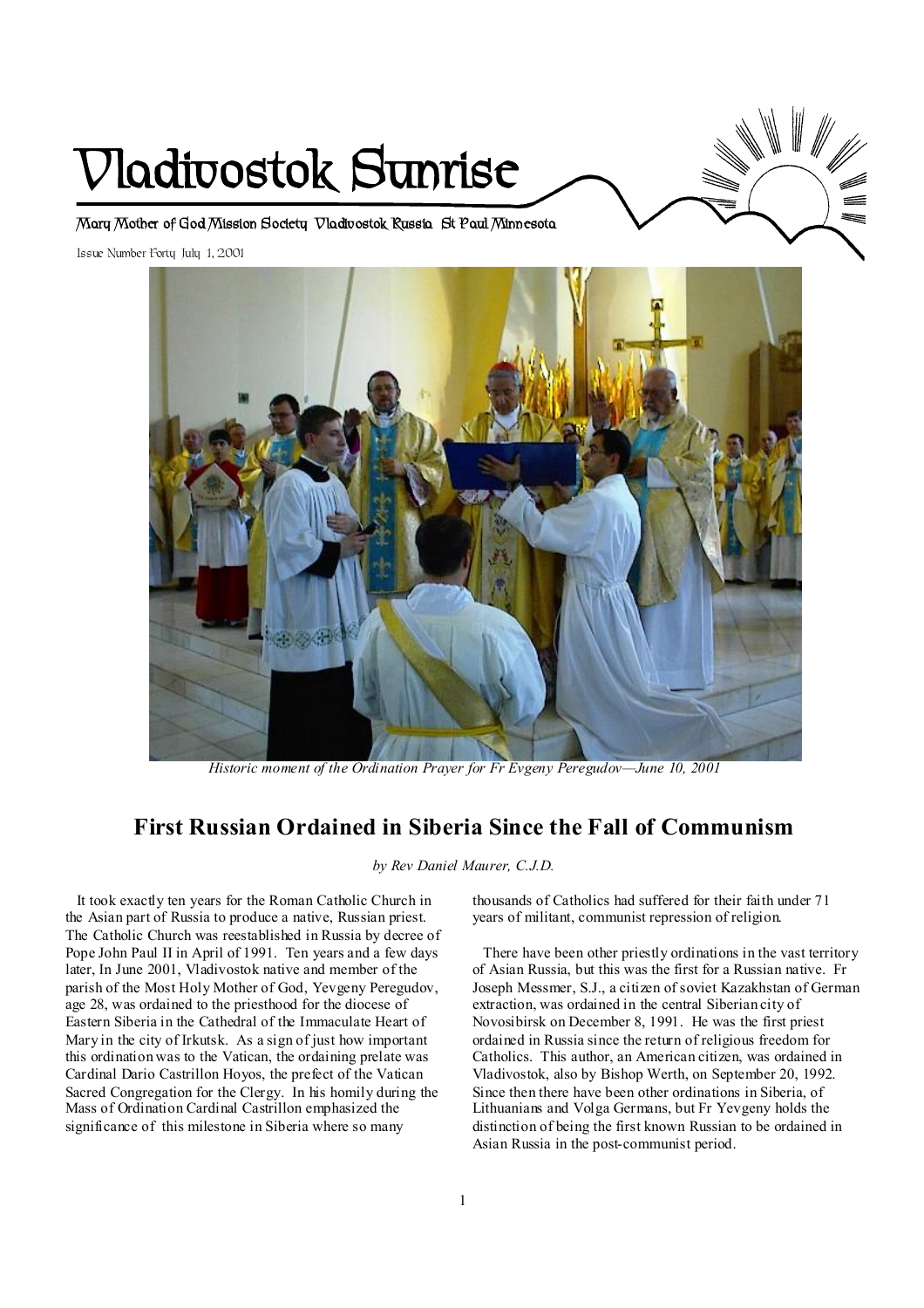# **Vladivostok Sunrise**

**Mary Mother of God Mission Society Vladivostok Russia St Paul Minnesota** 

Issue Number Forty July 1, 2001



 *Historic moment of the Ordination Prayer for Fr Evgeny Peregudov—June 10, 2001* 

# **First Russian Ordained in Siberia Since the Fall of Communism**

*by Rev Daniel Maurer, C.J.D.* 

It took exactly ten years for the Roman Catholic Church in the Asian part of Russia to produce a native, Russian priest. The Catholic Church was reestablished in Russia by decree of Pope John Paul II in April of 1991. Ten years and a few days later, In June 2001, Vladivostok native and member of the parish of the Most Holy Mother of God, Yevgeny Peregudov, age 28, was ordained to the priesthood for the diocese of Eastern Siberia in the Cathedral of the Immaculate Heart of Mary in the city of Irkutsk. As a sign of just how important this ordination was to the Vatican, the ordaining prelate was Cardinal Dario Castrillon Hoyos, the prefect of the Vatican Sacred Congregation for the Clergy. In his homily during the Mass of Ordination Cardinal Castrillon emphasized the significance of this milestone in Siberia where so many

thousands of Catholics had suffered for their faith under 71 years of militant, communist repression of religion.

There have been other priestly ordinations in the vast territory of Asian Russia, but this was the first for a Russian native. Fr Joseph Messmer, S.J., a citizen of soviet Kazakhstan of German extraction, was ordained in the central Siberian city of Novosibirsk on December 8, 1991. He was the first priest ordained in Russia since the return of religious freedom for Catholics. This author, an American citizen, was ordained in Vladivostok, also by Bishop Werth, on September 20, 1992. Since then there have been other ordinations in Siberia, of Lithuanians and Volga Germans, but Fr Yevgeny holds the distinction of being the first known Russian to be ordained in Asian Russia in the post-communist period.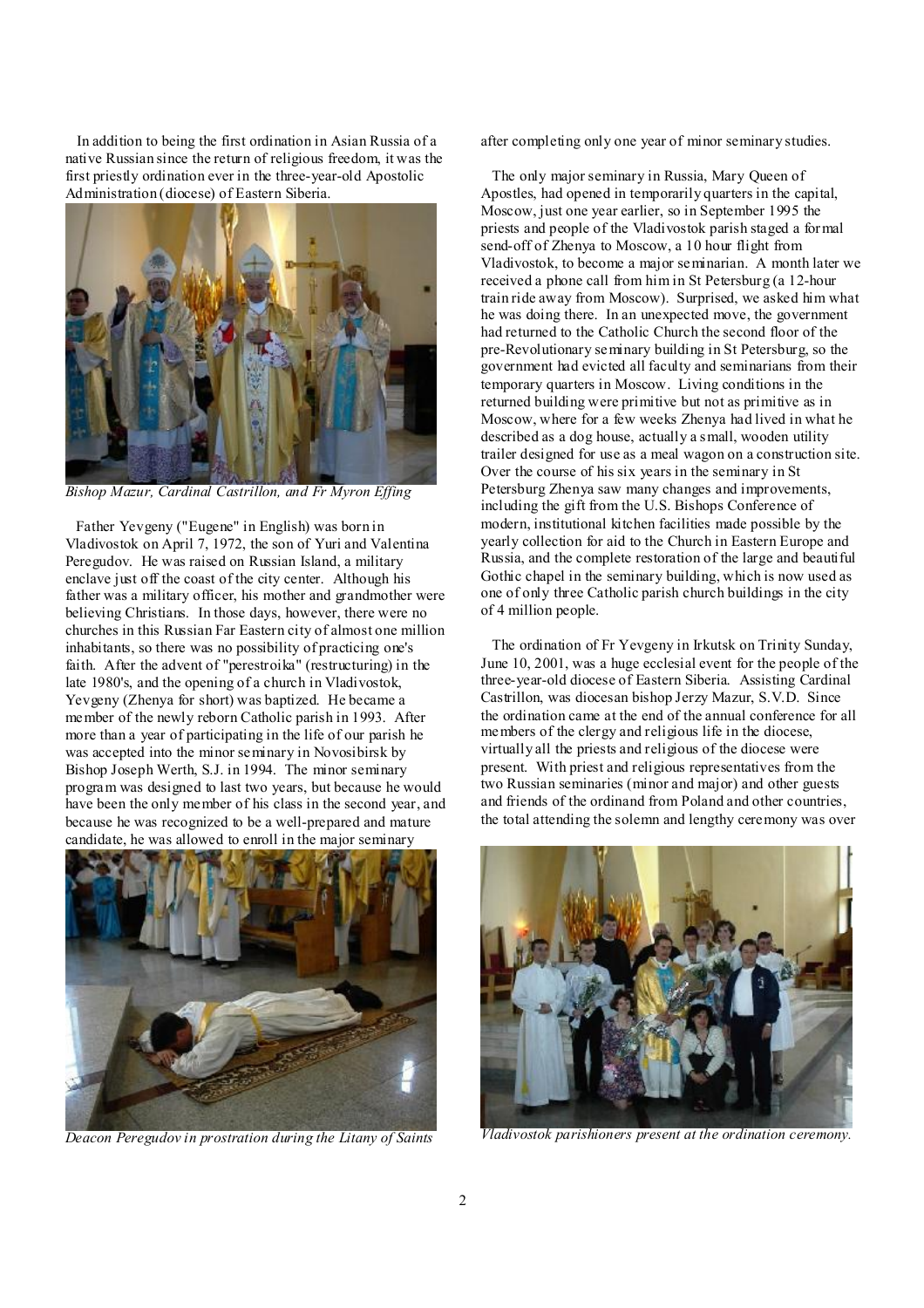In addition to being the first ordination in Asian Russia of a native Russian since the return of religious freedom, it was the first priestly ordination ever in the three-year-old Apostolic Administration (diocese) of Eastern Siberia.



*Bishop Mazur, Cardinal Castrillon, and Fr Myron Effing* 

Father Yevgeny ("Eugene" in English) was born in Vladivostok on April 7, 1972, the son of Yuri and Valentina Peregudov. He was raised on Russian Island, a military enclave just off the coast of the city center. Although his father was a military officer, his mother and grandmother were believing Christians. In those days, however, there were no churches in this Russian Far Eastern city of almost one million inhabitants, so there was no possibility of practicing one's faith. After the advent of "perestroika" (restructuring) in the late 1980's, and the opening of a church in Vladivostok, Yevgeny (Zhenya for short) was baptized. He became a member of the newly reborn Catholic parish in 1993. After more than a year of participating in the life of our parish he was accepted into the minor seminary in Novosibirsk by Bishop Joseph Werth, S.J. in 1994. The minor seminary program was designed to last two years, but because he would have been the only member of his class in the second year, and because he was recognized to be a well-prepared and mature candidate, he was allowed to enroll in the major seminary



*Deacon Peregudov in prostration during the Litany of Saints* 

after completing only one year of minor seminary studies.

 The only major seminary in Russia, Mary Queen of Apostles, had opened in temporarily quarters in the capital, Moscow, just one year earlier, so in September 1995 the priests and people of the Vladivostok parish staged a formal send-off of Zhenya to Moscow, a 10 hour flight from Vladivostok, to become a major seminarian. A month later we received a phone call from him in St Petersburg (a 12-hour train ride away from Moscow). Surprised, we asked him what he was doing there. In an unexpected move, the government had returned to the Catholic Church the second floor of the pre-Revolutionary seminary building in St Petersburg, so the government had evicted all faculty and seminarians from their temporary quarters in Moscow. Living conditions in the returned building were primitive but not as primitive as in Moscow, where for a few weeks Zhenya had lived in what he described as a dog house, actually a small, wooden utility trailer designed for use as a meal wagon on a construction site. Over the course of his six years in the seminary in St Petersburg Zhenya saw many changes and improvements, including the gift from the U.S. Bishops Conference of modern, institutional kitchen facilities made possible by the yearly collection for aid to the Church in Eastern Europe and Russia, and the complete restoration of the large and beautiful Gothic chapel in the seminary building, which is now used as one of only three Catholic parish church buildings in the city of 4 million people.

 The ordination of Fr Yevgeny in Irkutsk on Trinity Sunday, June 10, 2001, was a huge ecclesial event for the people of the three-year-old diocese of Eastern Siberia. Assisting Cardinal Castrillon, was diocesan bishop Jerzy Mazur, S.V.D. Since the ordination came at the end of the annual conference for all members of the clergy and religious life in the diocese, virtually all the priests and religious of the diocese were present. With priest and religious representatives from the two Russian seminaries (minor and major) and other guests and friends of the ordinand from Poland and other countries, the total attending the solemn and lengthy ceremony was over



*Vladivostok parishioners present at the ordination ceremony.*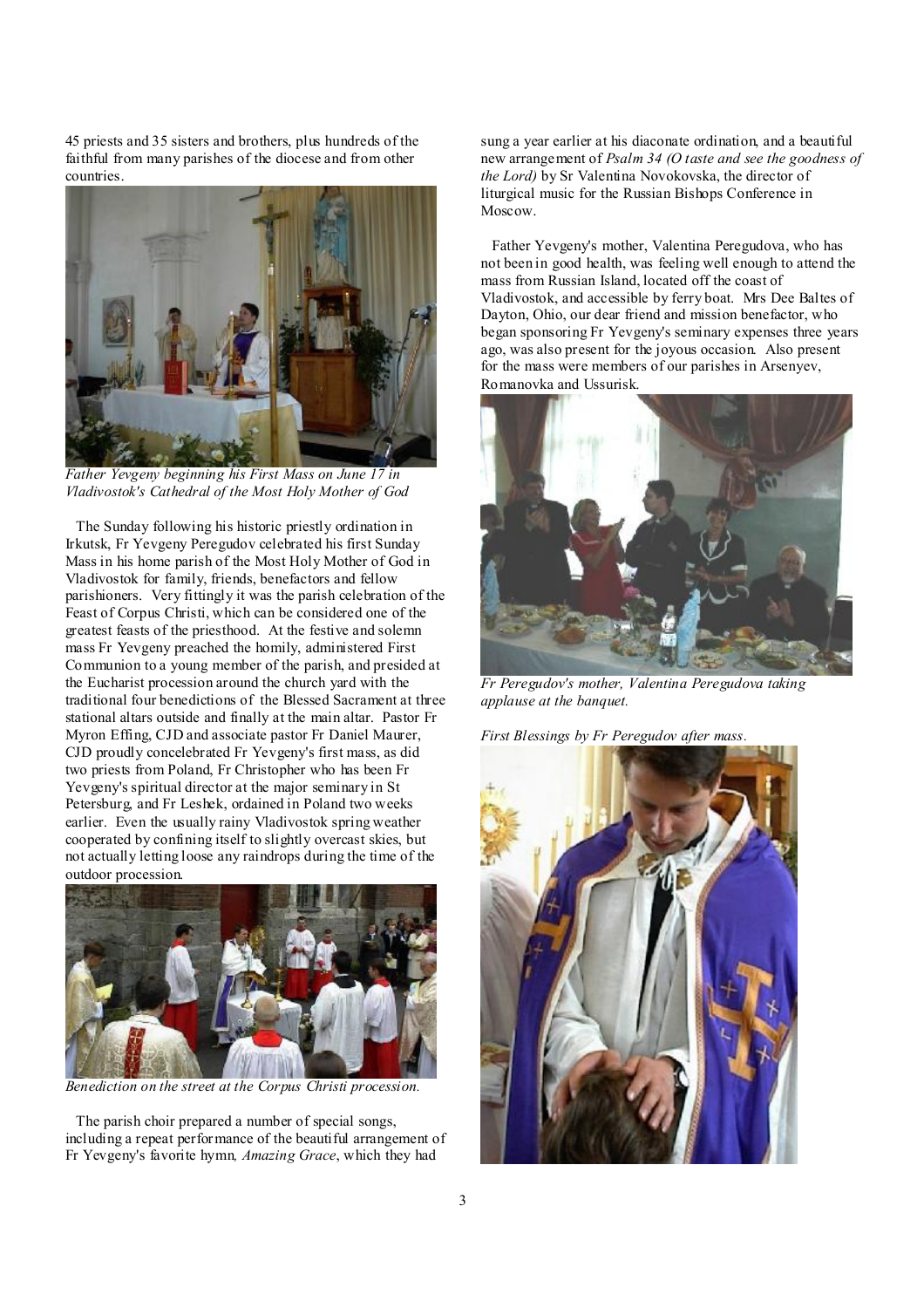45 priests and 35 sisters and brothers, plus hundreds of the faithful from many parishes of the diocese and from other countries.



*Father Yevgeny beginning his First Mass on June 17 in Vladivostok's Cathedral of the Most Holy Mother of God* 

The Sunday following his historic priestly ordination in Irkutsk, Fr Yevgeny Peregudov celebrated his first Sunday Mass in his home parish of the Most Holy Mother of God in Vladivostok for family, friends, benefactors and fellow parishioners. Very fittingly it was the parish celebration of the Feast of Corpus Christi, which can be considered one of the greatest feasts of the priesthood. At the festive and solemn mass Fr Yevgeny preached the homily, administered First Communion to a young member of the parish, and presided at the Eucharist procession around the church yard with the traditional four benedictions of the Blessed Sacrament at three stational altars outside and finally at the main altar. Pastor Fr Myron Effing, CJD and associate pastor Fr Daniel Maurer, CJD proudly concelebrated Fr Yevgeny's first mass, as did two priests from Poland, Fr Christopher who has been Fr Yevgeny's spiritual director at the major seminary in St Petersburg, and Fr Leshek, ordained in Poland two weeks earlier. Even the usually rainy Vladivostok spring weather cooperated by confining itself to slightly overcast skies, but not actually letting loose any raindrops during the time of the outdoor procession.



*Benediction on the street at the Corpus Christi procession.* 

The parish choir prepared a number of special songs, including a repeat performance of the beautiful arrangement of Fr Yevgeny's favorite hymn*, Amazing Grace*, which they had

sung a year earlier at his diaconate ordination, and a beautiful new arrangement of *Psalm 34 (O taste and see the goodness of the Lord)* by Sr Valentina Novokovska, the director of liturgical music for the Russian Bishops Conference in Moscow.

 Father Yevgeny's mother, Valentina Peregudova, who has not been in good health, was feeling well enough to attend the mass from Russian Island, located off the coast of Vladivostok, and accessible by ferry boat. Mrs Dee Baltes of Dayton, Ohio, our dear friend and mission benefactor, who began sponsoring Fr Yevgeny's seminary expenses three years ago, was also present for the joyous occasion. Also present for the mass were members of our parishes in Arsenyev, Romanovka and Ussurisk.



*Fr Peregudov's mother, Valentina Peregudova taking applause at the banquet.* 

*First Blessings by Fr Peregudov after mass.* 

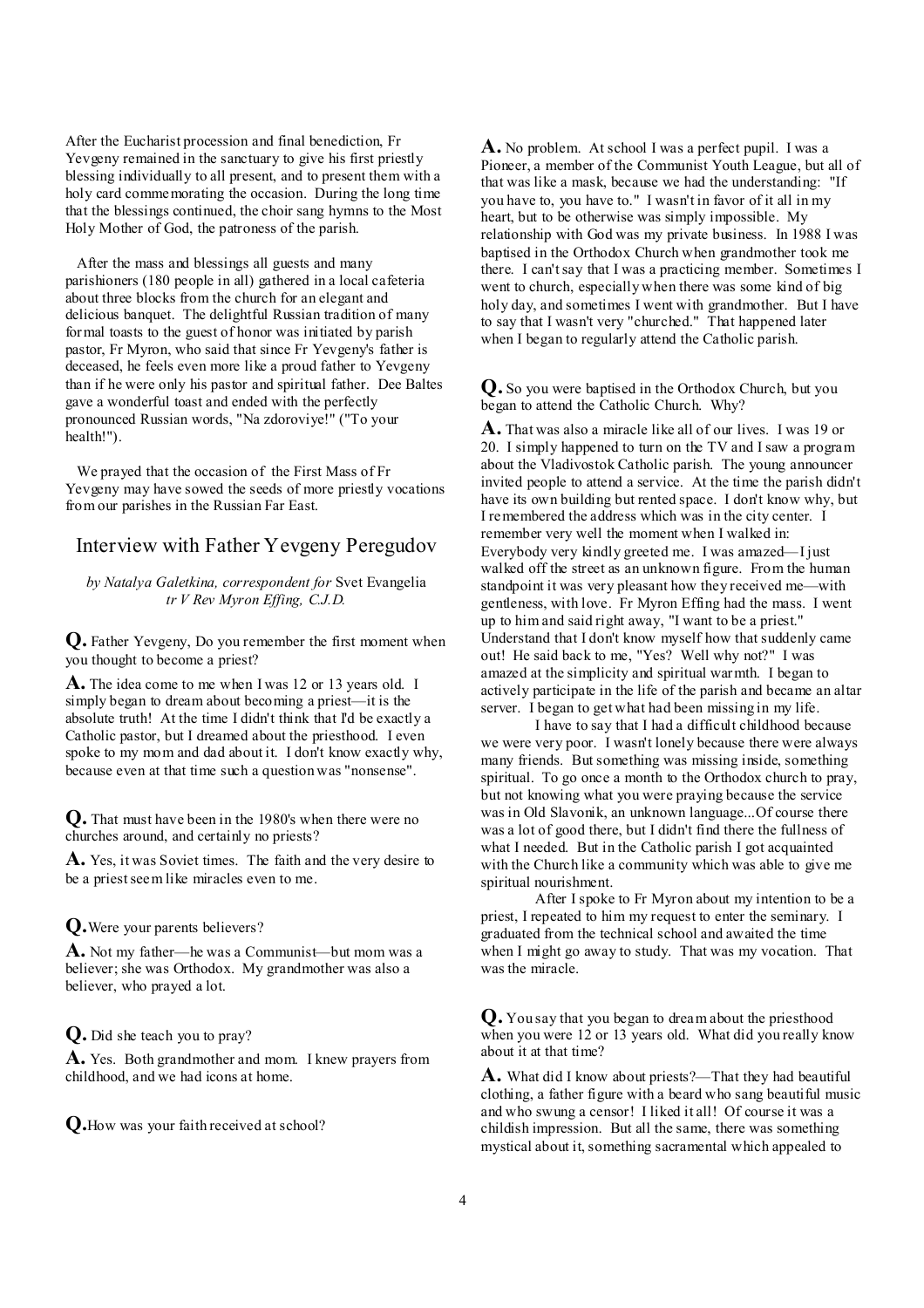After the Eucharist procession and final benediction, Fr Yevgeny remained in the sanctuary to give his first priestly blessing individually to all present, and to present them with a holy card commemorating the occasion. During the long time that the blessings continued, the choir sang hymns to the Most Holy Mother of God, the patroness of the parish.

After the mass and blessings all guests and many parishioners (180 people in all) gathered in a local cafeteria about three blocks from the church for an elegant and delicious banquet. The delightful Russian tradition of many formal toasts to the guest of honor was initiated by parish pastor, Fr Myron, who said that since Fr Yevgeny's father is deceased, he feels even more like a proud father to Yevgeny than if he were only his pastor and spiritual father. Dee Baltes gave a wonderful toast and ended with the perfectly pronounced Russian words, "Na zdoroviye!" ("To your health!").

We prayed that the occasion of the First Mass of Fr Yevgeny may have sowed the seeds of more priestly vocations from our parishes in the Russian Far East.

## Interview with Father Yevgeny Peregudov

#### *by Natalya Galetkina, correspondent for* Svet Evangelia *tr V Rev Myron Effing, C.J.D.*

**Q.** Father Yevgeny, Do you remember the first moment when you thought to become a priest?

**A.** The idea come to me when I was 12 or 13 years old. I simply began to dream about becoming a priest—it is the absolute truth! At the time I didn't think that I'd be exactly a Catholic pastor, but I dreamed about the priesthood. I even spoke to my mom and dad about it. I don't know exactly why, because even at that time such a question was "nonsense".

**Q.** That must have been in the 1980's when there were no churches around, and certainly no priests?

**A.** Yes, it was Soviet times. The faith and the very desire to be a priest seem like miracles even to me.

#### **Q.**Were your parents believers?

**A.** Not my father—he was a Communist—but mom was a believer; she was Orthodox. My grandmother was also a believer, who prayed a lot.

#### **Q.** Did she teach you to pray?

**A.** Yes. Both grandmother and mom. I knew prayers from childhood, and we had icons at home.

**Q.**How was your faith received at school?

**A.** No problem. At school I was a perfect pupil. I was a Pioneer, a member of the Communist Youth League, but all of that was like a mask, because we had the understanding: "If you have to, you have to." I wasn't in favor of it all in my heart, but to be otherwise was simply impossible. My relationship with God was my private business. In 1988 I was baptised in the Orthodox Church when grandmother took me there. I can'tsay that I was a practicing member. Sometimes I went to church, especially when there was some kind of big holy day, and sometimes I went with grandmother. But I have to say that I wasn't very "churched." That happened later when I began to regularly attend the Catholic parish.

**Q.** So you were baptised in the Orthodox Church, but you began to attend the Catholic Church. Why?

**A.** That was also a miracle like all of our lives. I was 19 or 20. I simply happened to turn on the TV and I saw a program about the Vladivostok Catholic parish. The young announcer invited people to attend a service. At the time the parish didn't have its own building but rented space. I don't know why, but I remembered the address which was in the city center. I remember very well the moment when I walked in: Everybody very kindly greeted me. I was amazed—I just walked off the street as an unknown figure. From the human standpoint it was very pleasant how they received me—with gentleness, with love. Fr Myron Effing had the mass. I went up to him and said right away, "I want to be a priest." Understand that I don't know myself how that suddenly came out! He said back to me, "Yes? Well why not?" I was amazed at the simplicity and spiritual warmth. I began to actively participate in the life of the parish and became an altar server. I began to get what had been missing in my life.

I have to say that I had a difficult childhood because we were very poor. I wasn't lonely because there were always many friends. But something was missing inside, something spiritual. To go once a month to the Orthodox church to pray, but not knowing what you were praying because the service was in Old Slavonik, an unknown language...Of course there was a lot of good there, but I didn't find there the fullness of what I needed. But in the Catholic parish I got acquainted with the Church like a community which was able to give me spiritual nourishment.

After I spoke to Fr Myron about my intention to be a priest, I repeated to him my request to enter the seminary. I graduated from the technical school and awaited the time when I might go away to study. That was my vocation. That was the miracle.

**Q.** You say that you began to dream about the priesthood when you were 12 or 13 years old. What did you really know about it at that time?

**A.** What did I know about priests?—That they had beautiful clothing, a father figure with a beard who sang beautiful music and who swung a censor! I liked it all! Of course it was a childish impression. But all the same, there was something mystical about it, something sacramental which appealed to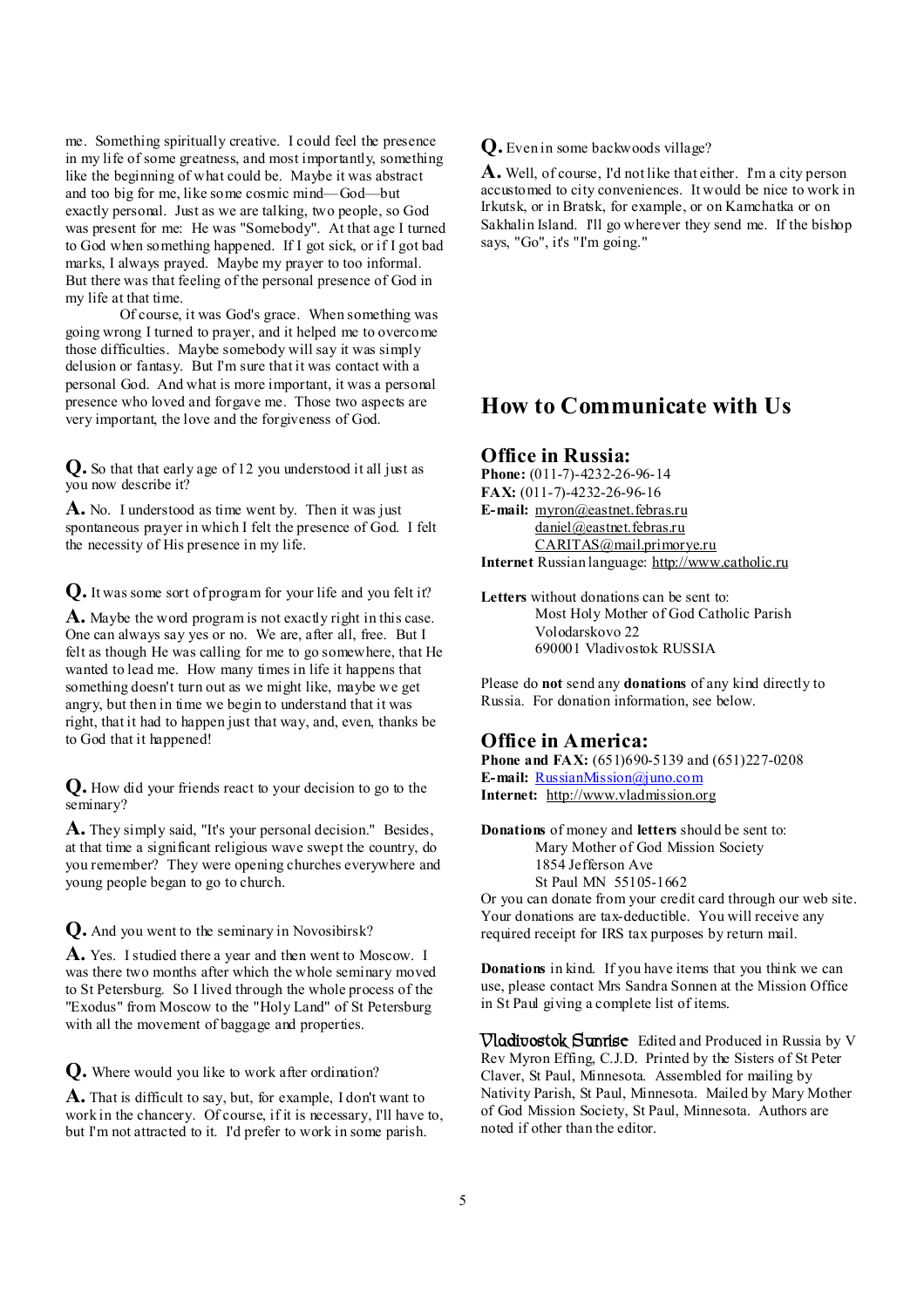me. Something spiritually creative. I could feel the presence in my life of some greatness, and most importantly, something like the beginning of what could be. Maybe it was abstract and too big for me, like some cosmic mind—God—but exactly personal. Just as we are talking, two people, so God was present for me: He was "Somebody". At that age I turned to God when something happened. If I got sick, or if I got bad marks, I always prayed. Maybe my prayer to too informal. But there was that feeling of the personal presence of God in my life at that time.

Of course, it was God's grace. When something was going wrong I turned to prayer, and it helped me to overcome those difficulties. Maybe somebody will say it was simply delusion or fantasy. But I'm sure that it was contact with a personal God. And what is more important, it was a personal presence who loved and forgave me. Those two aspects are very important, the love and the forgiveness of God.

**Q.** So that that early age of 12 you understood it all just as you now describe it?

**A.** No. I understood as time went by. Then it was just spontaneous prayer in which I felt the presence of God. I felt the necessity of His presence in my life.

**Q.** It was some sort of program for your life and you felt it?

**A.** Maybe the word program is not exactly right in this case. One can always say yes or no. We are, after all, free. But I felt as though He was calling for me to go somewhere, that He wanted to lead me. How many times in life it happens that something doesn't turn out as we might like, maybe we get angry, but then in time we begin to understand that it was right, that it had to happen just that way, and, even, thanks be to God that it happened!

**Q.** How did your friends react to your decision to go to the seminary?

**A.** They simply said, "It's your personal decision." Besides, at that time a significant religious wave swept the country, do you remember? They were opening churches everywhere and young people began to go to church.

**Q.** And you went to the seminary in Novosibirsk?

**A.** Yes. I studied there a year and then went to Moscow. I was there two months after which the whole seminary moved to St Petersburg. So I lived through the whole process of the "Exodus" from Moscow to the "Holy Land" of St Petersburg with all the movement of baggage and properties.

**Q.** Where would you like to work after ordination?

**A.** That is difficult to say, but, for example, I don't want to work in the chancery. Of course, if it is necessary, I'll have to, but I'm not attracted to it. I'd prefer to work in some parish.

**Q.** Even in some backwoods village?

**A.** Well, of course, I'd not like that either. I'm a city person accustomed to city conveniences. It would be nice to work in Irkutsk, or in Bratsk, for example, or on Kamchatka or on Sakhalin Island. I'll go wherever they send me. If the bishop says, "Go", it's "I'm going."

# **How to Communicate with Us**

## **Office in Russia:**

**Phone:** (011-7)-4232-26-96-14 **FAX:** (011-7)-4232-26-96-16 **E-mail:** [myron@eastnet.febras.ru](mailto:myron@eastnet.febras.ru) [daniel@eastnet.febras.ru](mailto:daniel@eastnet.febras.ru) [CARITAS@mail.primorye.ru](mailto:CARITAS@mail.primorye.ru) **Internet** Russian language: <http://www.catholic.ru>

**Letters** without donations can be sent to: Most Holy Mother of God Catholic Parish Volodarskovo 22 690001 Vladivostok RUSSIA

Please do **not** send any **donations** of any kind directly to Russia. For donation information, see below.

### **Office in America:**

**Phone and FAX:** (651)690-5139 and (651)227-0208 **E-mail:** [RussianMission@juno.com](mailto:RussianMission@juno.com) **Internet:** <http://www.vladmission.org>

**Donations** of money and **letters** should be sent to: Mary Mother of God Mission Society 1854 Jefferson Ave St Paul MN 55105-1662

Or you can donate from your credit card through our web site. Your donations are tax-deductible. You will receive any required receipt for IRS tax purposes by return mail.

**Donations** in kind. If you have items that you think we can use, please contact Mrs Sandra Sonnen at the Mission Office in St Paul giving a complete list of items.

**Vladivostok Sunrise** Edited and Produced in Russia by V Rev Myron Effing, C.J.D. Printed by the Sisters of St Peter Claver, St Paul, Minnesota. Assembled for mailing by Nativity Parish, St Paul, Minnesota. Mailed by Mary Mother of God Mission Society, St Paul, Minnesota. Authors are noted if other than the editor.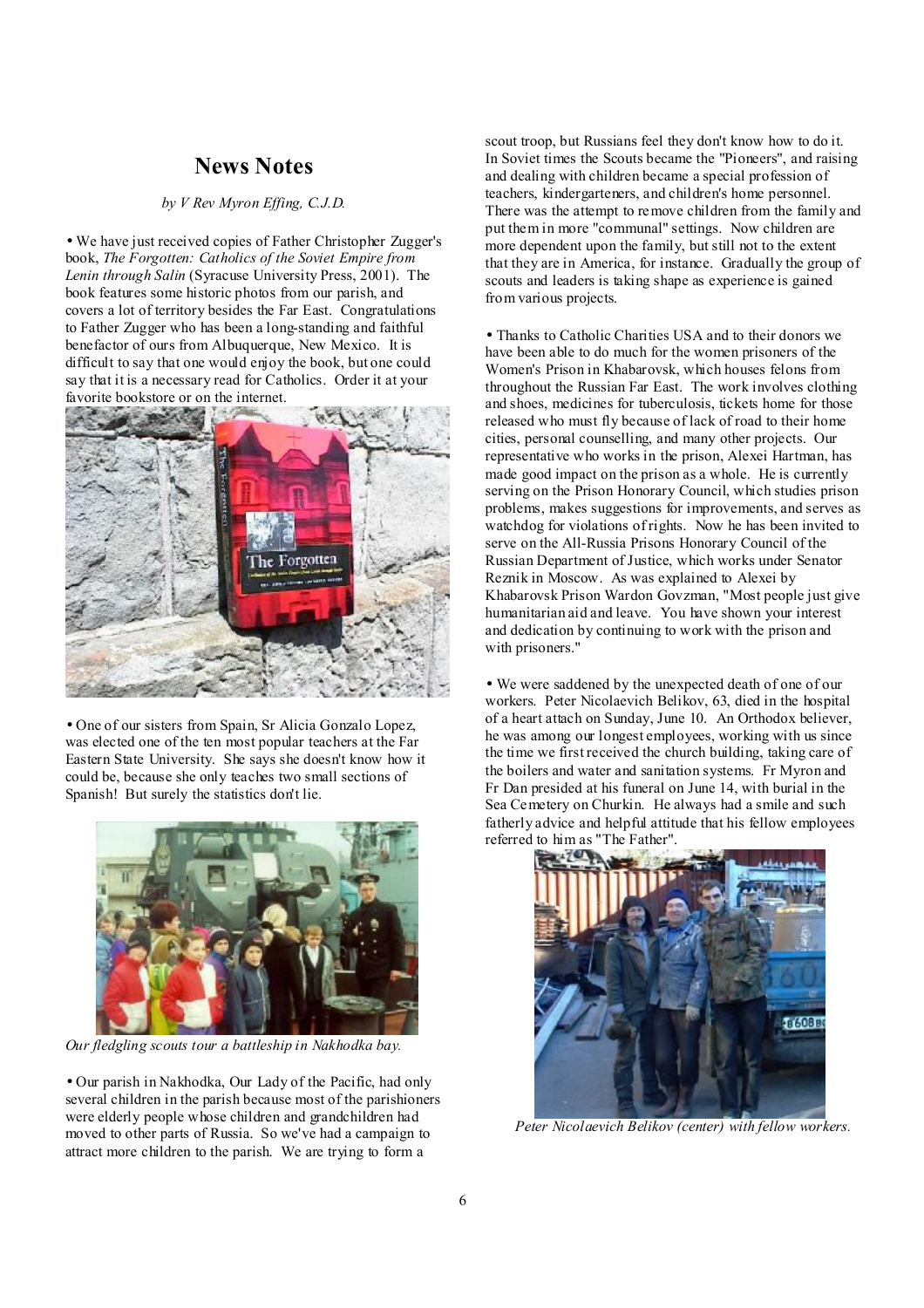# **News Notes**

#### *by V Rev Myron Effing, C.J.D.*

• We have just received copies of Father Christopher Zugger's book, *The Forgotten: Catholics of the Soviet Empire from Lenin through Salin* (Syracuse University Press, 2001). The book features some historic photos from our parish, and covers a lot of territory besides the Far East. Congratulations to Father Zugger who has been a long-standing and faithful benefactor of ours from Albuquerque, New Mexico. It is difficult to say that one would enjoy the book, but one could say that it is a necessary read for Catholics. Order it at your favorite bookstore or on the internet.



• One of our sisters from Spain, Sr Alicia Gonzalo Lopez, was elected one of the ten most popular teachers at the Far Eastern State University. She says she doesn't know how it could be, because she only teaches two small sections of Spanish! But surely the statistics don't lie.



*Our fledgling scouts tour a battleship in Nakhodka bay.*

• Our parish in Nakhodka, Our Lady of the Pacific, had only several children in the parish because most of the parishioners were elderly people whose children and grandchildren had moved to other parts of Russia. So we've had a campaign to attract more children to the parish. We are trying to form a

scout troop, but Russians feel they don't know how to do it. In Soviet times the Scouts became the "Pioneers", and raising and dealing with children became a special profession of teachers, kindergarteners, and children's home personnel. There was the attempt to remove children from the family and put them in more "communal" settings. Now children are more dependent upon the family, but still not to the extent that they are in America, for instance. Gradually the group of scouts and leaders is taking shape as experience is gained from various projects.

• Thanks to Catholic Charities USA and to their donors we have been able to do much for the women prisoners of the Women's Prison in Khabarovsk, which houses felons from throughout the Russian Far East. The work involves clothing and shoes, medicines for tuberculosis, tickets home for those released who must fly because of lack of road to their home cities, personal counselling, and many other projects. Our representative who works in the prison, Alexei Hartman, has made good impact on the prison as a whole. He is currently serving on the Prison Honorary Council, which studies prison problems, makes suggestions for improvements, and serves as watchdog for violations of rights. Now he has been invited to serve on the All-Russia Prisons Honorary Council of the Russian Department of Justice, which works under Senator Reznik in Moscow. As was explained to Alexei by Khabarovsk Prison Wardon Govzman, "Most people just give humanitarian aid and leave. You have shown your interest and dedication by continuing to work with the prison and with prisoners."

• We were saddened by the unexpected death of one of our workers. Peter Nicolaevich Belikov, 63, died in the hospital of a heart attach on Sunday, June 10. An Orthodox believer, he was among our longest employees, working with us since the time we first received the church building, taking care of the boilers and water and sanitation systems. Fr Myron and Fr Dan presided at his funeral on June 14, with burial in the Sea Cemetery on Churkin. He always had a smile and such fatherly advice and helpful attitude that his fellow employees referred to him as "The Father".



 *Peter Nicolaevich Belikov (center) with fellow workers.*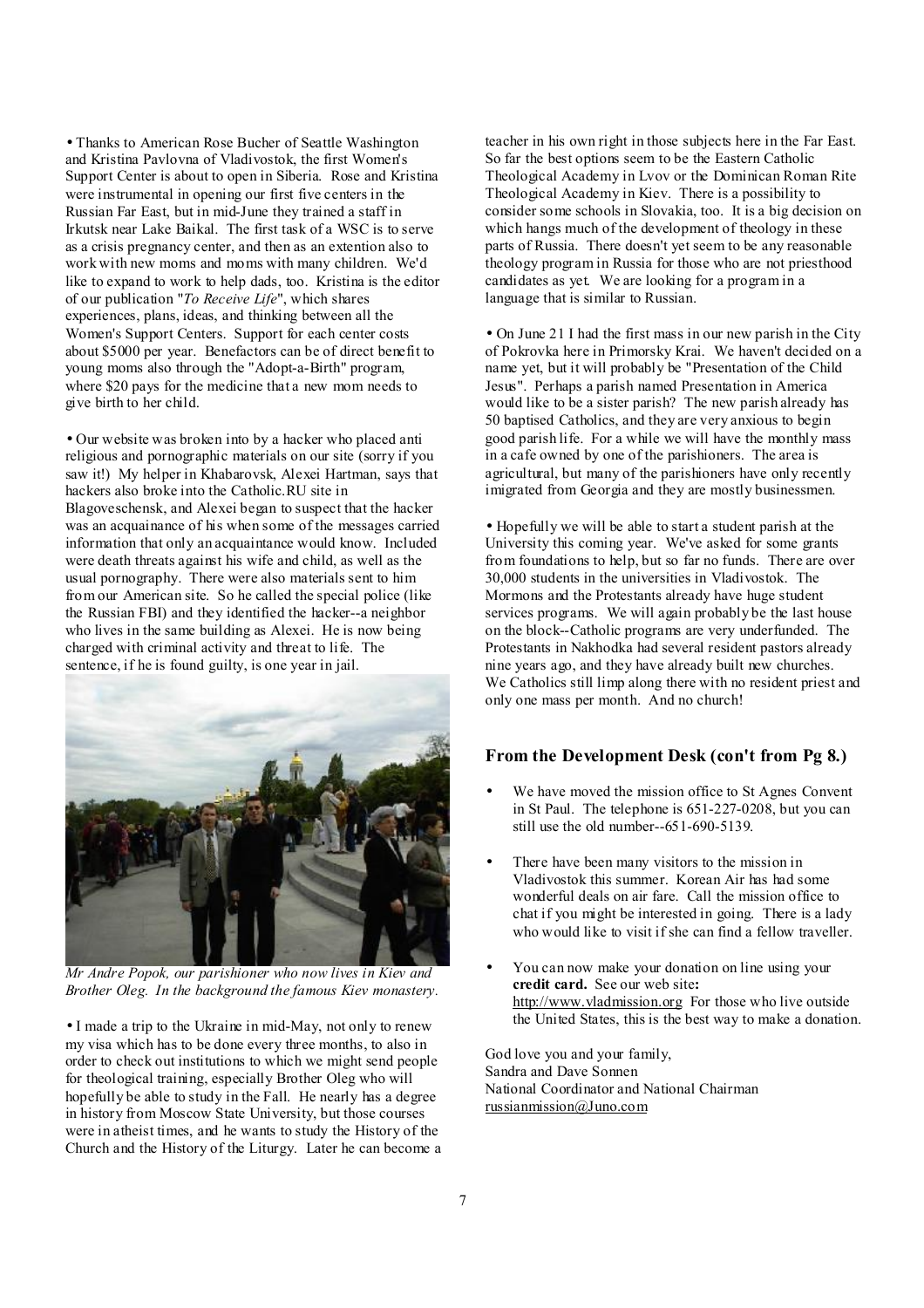• Thanks to American Rose Bucher of Seattle Washington and Kristina Pavlovna of Vladivostok, the first Women's Support Center is about to open in Siberia. Rose and Kristina were instrumental in opening our first five centers in the Russian Far East, but in mid-June they trained a staff in Irkutsk near Lake Baikal. The first task of a WSC is to serve as a crisis pregnancy center, and then as an extention also to work with new moms and moms with many children. We'd like to expand to work to help dads, too. Kristina is the editor of our publication "*To Receive Life*", which shares experiences, plans, ideas, and thinking between all the Women's Support Centers. Support for each center costs about \$5000 per year. Benefactors can be of direct benefit to young moms also through the "Adopt-a-Birth" program, where \$20 pays for the medicine that a new mom needs to give birth to her child.

• Our website was broken into by a hacker who placed anti religious and pornographic materials on our site (sorry if you saw it!) My helper in Khabarovsk, Alexei Hartman, says that hackers also broke into the Catholic.RU site in Blagoveschensk, and Alexei began to suspect that the hacker was an acquainance of his when some of the messages carried information that only an acquaintance would know. Included were death threats against his wife and child, as well as the usual pornography. There were also materials sent to him from our American site. So he called the special police (like the Russian FBI) and they identified the hacker--a neighbor who lives in the same building as Alexei. He is now being charged with criminal activity and threat to life. The sentence, if he is found guilty, is one year in jail.



*Mr Andre Popok, our parishioner who now lives in Kiev and Brother Oleg. In the background the famous Kiev monastery.* 

• I made a trip to the Ukraine in mid-May, not only to renew my visa which has to be done every three months, to also in order to check out institutions to which we might send people for theological training, especially Brother Oleg who will hopefully be able to study in the Fall. He nearly has a degree in history from Moscow State University, but those courses were in atheist times, and he wants to study the History of the Church and the History of the Liturgy. Later he can become a teacher in his own right in those subjects here in the Far East. So far the best options seem to be the Eastern Catholic Theological Academy in Lvov or the Dominican Roman Rite Theological Academy in Kiev. There is a possibility to consider some schools in Slovakia, too. It is a big decision on which hangs much of the development of theology in these parts of Russia. There doesn't yet seem to be any reasonable theology program in Russia for those who are not priesthood candidates as yet. We are looking for a program in a language that is similar to Russian.

• On June 21 I had the first mass in our new parish in the City of Pokrovka here in Primorsky Krai. We haven't decided on a name yet, but it will probably be "Presentation of the Child Jesus". Perhaps a parish named Presentation in America would like to be a sister parish? The new parish already has 50 baptised Catholics, and they are very anxious to begin good parish life. For a while we will have the monthly mass in a cafe owned by one of the parishioners. The area is agricultural, but many of the parishioners have only recently imigrated from Georgia and they are mostly businessmen.

• Hopefully we will be able to start a student parish at the University this coming year. We've asked for some grants from foundations to help, but so far no funds. There are over 30,000 students in the universities in Vladivostok. The Mormons and the Protestants already have huge student services programs. We will again probably be the last house on the block--Catholic programs are very underfunded. The Protestants in Nakhodka had several resident pastors already nine years ago, and they have already built new churches. We Catholics still limp along there with no resident priest and only one mass per month. And no church!

## **From the Development Desk (con't from Pg 8.)**

- We have moved the mission office to St Agnes Convent in St Paul. The telephone is 651-227-0208, but you can still use the old number--651-690-5139.
- There have been many visitors to the mission in Vladivostok this summer. Korean Air has had some wonderful deals on air fare. Call the mission office to chat if you might be interested in going. There is a lady who would like to visit if she can find a fellow traveller.
- You can now make your donation on line using your **credit card.** See our web site**:**  <http://www.vladmission.org> For those who live outside the United States, this is the best way to make a donation.

God love you and your family, Sandra and Dave Sonnen National Coordinator and National Chairman [russianmission@Juno.com](mailto:russianmission@Juno.com)